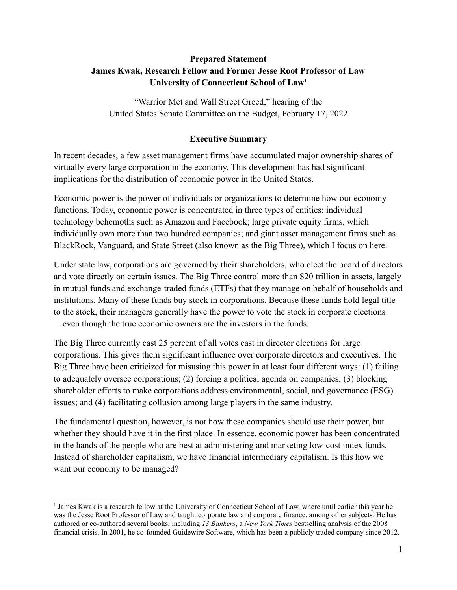# **Prepared Statement James Kwak, Research Fellow and Former Jesse Root Professor of Law University of Connecticut School of Law<sup>1</sup>**

"Warrior Met and Wall Street Greed," hearing of the United States Senate Committee on the Budget, February 17, 2022

### **Executive Summary**

In recent decades, a few asset management firms have accumulated major ownership shares of virtually every large corporation in the economy. This development has had significant implications for the distribution of economic power in the United States.

Economic power is the power of individuals or organizations to determine how our economy functions. Today, economic power is concentrated in three types of entities: individual technology behemoths such as Amazon and Facebook; large private equity firms, which individually own more than two hundred companies; and giant asset management firms such as BlackRock, Vanguard, and State Street (also known as the Big Three), which I focus on here.

Under state law, corporations are governed by their shareholders, who elect the board of directors and vote directly on certain issues. The Big Three control more than \$20 trillion in assets, largely in mutual funds and exchange-traded funds (ETFs) that they manage on behalf of households and institutions. Many of these funds buy stock in corporations. Because these funds hold legal title to the stock, their managers generally have the power to vote the stock in corporate elections —even though the true economic owners are the investors in the funds.

The Big Three currently cast 25 percent of all votes cast in director elections for large corporations. This gives them significant influence over corporate directors and executives. The Big Three have been criticized for misusing this power in at least four different ways: (1) failing to adequately oversee corporations; (2) forcing a political agenda on companies; (3) blocking shareholder efforts to make corporations address environmental, social, and governance (ESG) issues; and (4) facilitating collusion among large players in the same industry.

The fundamental question, however, is not how these companies should use their power, but whether they should have it in the first place. In essence, economic power has been concentrated in the hands of the people who are best at administering and marketing low-cost index funds. Instead of shareholder capitalism, we have financial intermediary capitalism. Is this how we want our economy to be managed?

<sup>1</sup> James Kwak is a research fellow at the University of Connecticut School of Law, where until earlier this year he was the Jesse Root Professor of Law and taught corporate law and corporate finance, among other subjects. He has authored or co-authored several books, including *13 Bankers*, a *New York Times* bestselling analysis of the 2008 financial crisis. In 2001, he co-founded Guidewire Software, which has been a publicly traded company since 2012.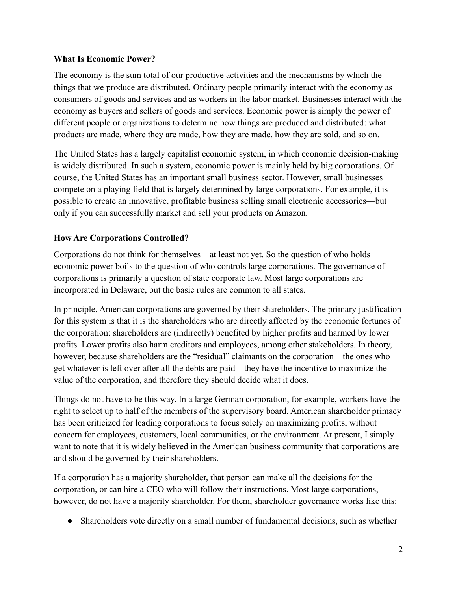### **What Is Economic Power?**

The economy is the sum total of our productive activities and the mechanisms by which the things that we produce are distributed. Ordinary people primarily interact with the economy as consumers of goods and services and as workers in the labor market. Businesses interact with the economy as buyers and sellers of goods and services. Economic power is simply the power of different people or organizations to determine how things are produced and distributed: what products are made, where they are made, how they are made, how they are sold, and so on.

The United States has a largely capitalist economic system, in which economic decision-making is widely distributed. In such a system, economic power is mainly held by big corporations. Of course, the United States has an important small business sector. However, small businesses compete on a playing field that is largely determined by large corporations. For example, it is possible to create an innovative, profitable business selling small electronic accessories—but only if you can successfully market and sell your products on Amazon.

# **How Are Corporations Controlled?**

Corporations do not think for themselves—at least not yet. So the question of who holds economic power boils to the question of who controls large corporations. The governance of corporations is primarily a question of state corporate law. Most large corporations are incorporated in Delaware, but the basic rules are common to all states.

In principle, American corporations are governed by their shareholders. The primary justification for this system is that it is the shareholders who are directly affected by the economic fortunes of the corporation: shareholders are (indirectly) benefited by higher profits and harmed by lower profits. Lower profits also harm creditors and employees, among other stakeholders. In theory, however, because shareholders are the "residual" claimants on the corporation—the ones who get whatever is left over after all the debts are paid—they have the incentive to maximize the value of the corporation, and therefore they should decide what it does.

Things do not have to be this way. In a large German corporation, for example, workers have the right to select up to half of the members of the supervisory board. American shareholder primacy has been criticized for leading corporations to focus solely on maximizing profits, without concern for employees, customers, local communities, or the environment. At present, I simply want to note that it is widely believed in the American business community that corporations are and should be governed by their shareholders.

If a corporation has a majority shareholder, that person can make all the decisions for the corporation, or can hire a CEO who will follow their instructions. Most large corporations, however, do not have a majority shareholder. For them, shareholder governance works like this:

• Shareholders vote directly on a small number of fundamental decisions, such as whether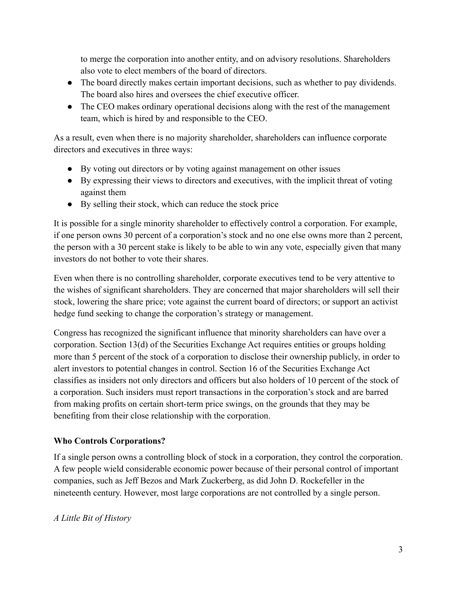to merge the corporation into another entity, and on advisory resolutions. Shareholders also vote to elect members of the board of directors.

- The board directly makes certain important decisions, such as whether to pay dividends. The board also hires and oversees the chief executive officer.
- The CEO makes ordinary operational decisions along with the rest of the management team, which is hired by and responsible to the CEO.

As a result, even when there is no majority shareholder, shareholders can influence corporate directors and executives in three ways:

- By voting out directors or by voting against management on other issues
- By expressing their views to directors and executives, with the implicit threat of voting against them
- By selling their stock, which can reduce the stock price

It is possible for a single minority shareholder to effectively control a corporation. For example, if one person owns 30 percent of a corporation's stock and no one else owns more than 2 percent, the person with a 30 percent stake is likely to be able to win any vote, especially given that many investors do not bother to vote their shares.

Even when there is no controlling shareholder, corporate executives tend to be very attentive to the wishes of significant shareholders. They are concerned that major shareholders will sell their stock, lowering the share price; vote against the current board of directors; or support an activist hedge fund seeking to change the corporation's strategy or management.

Congress has recognized the significant influence that minority shareholders can have over a corporation. Section 13(d) of the Securities Exchange Act requires entities or groups holding more than 5 percent of the stock of a corporation to disclose their ownership publicly, in order to alert investors to potential changes in control. Section 16 of the Securities Exchange Act classifies as insiders not only directors and officers but also holders of 10 percent of the stock of a corporation. Such insiders must report transactions in the corporation's stock and are barred from making profits on certain short-term price swings, on the grounds that they may be benefiting from their close relationship with the corporation.

# **Who Controls Corporations?**

If a single person owns a controlling block of stock in a corporation, they control the corporation. A few people wield considerable economic power because of their personal control of important companies, such as Jeff Bezos and Mark Zuckerberg, as did John D. Rockefeller in the nineteenth century. However, most large corporations are not controlled by a single person.

# *A Little Bit of History*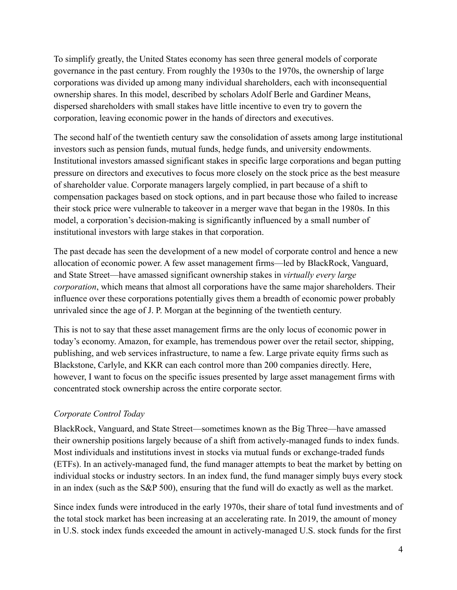To simplify greatly, the United States economy has seen three general models of corporate governance in the past century. From roughly the 1930s to the 1970s, the ownership of large corporations was divided up among many individual shareholders, each with inconsequential ownership shares. In this model, described by scholars Adolf Berle and Gardiner Means, dispersed shareholders with small stakes have little incentive to even try to govern the corporation, leaving economic power in the hands of directors and executives.

The second half of the twentieth century saw the consolidation of assets among large institutional investors such as pension funds, mutual funds, hedge funds, and university endowments. Institutional investors amassed significant stakes in specific large corporations and began putting pressure on directors and executives to focus more closely on the stock price as the best measure of shareholder value. Corporate managers largely complied, in part because of a shift to compensation packages based on stock options, and in part because those who failed to increase their stock price were vulnerable to takeover in a merger wave that began in the 1980s. In this model, a corporation's decision-making is significantly influenced by a small number of institutional investors with large stakes in that corporation.

The past decade has seen the development of a new model of corporate control and hence a new allocation of economic power. A few asset management firms—led by BlackRock, Vanguard, and State Street—have amassed significant ownership stakes in *virtually every large corporation*, which means that almost all corporations have the same major shareholders. Their influence over these corporations potentially gives them a breadth of economic power probably unrivaled since the age of J. P. Morgan at the beginning of the twentieth century.

This is not to say that these asset management firms are the only locus of economic power in today's economy. Amazon, for example, has tremendous power over the retail sector, shipping, publishing, and web services infrastructure, to name a few. Large private equity firms such as Blackstone, Carlyle, and KKR can each control more than 200 companies directly. Here, however, I want to focus on the specific issues presented by large asset management firms with concentrated stock ownership across the entire corporate sector.

# *Corporate Control Today*

BlackRock, Vanguard, and State Street—sometimes known as the Big Three—have amassed their ownership positions largely because of a shift from actively-managed funds to index funds. Most individuals and institutions invest in stocks via mutual funds or exchange-traded funds (ETFs). In an actively-managed fund, the fund manager attempts to beat the market by betting on individual stocks or industry sectors. In an index fund, the fund manager simply buys every stock in an index (such as the S&P 500), ensuring that the fund will do exactly as well as the market.

Since index funds were introduced in the early 1970s, their share of total fund investments and of the total stock market has been increasing at an accelerating rate. In 2019, the amount of money in U.S. stock index funds exceeded the amount in actively-managed U.S. stock funds for the first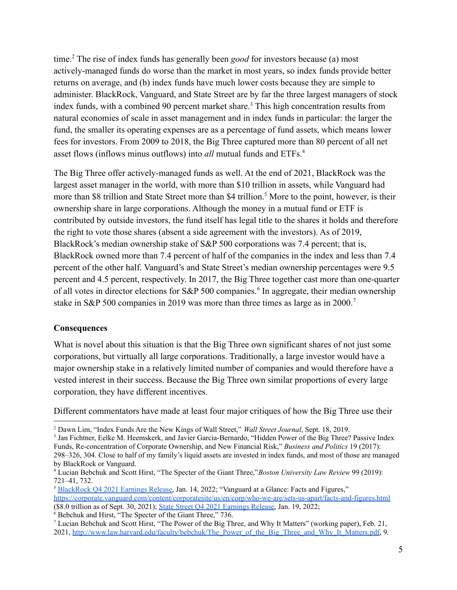time.<sup>2</sup> The rise of index funds has generally been *good* for investors because (a) most actively-managed funds do worse than the market in most years, so index funds provide better returns on average, and (b) index funds have much lower costs because they are simple to administer. BlackRock, Vanguard, and State Street are by far the three largest managers of stock index funds, with a combined 90 percent market share.<sup>3</sup> This high concentration results from natural economies of scale in asset management and in index funds in particular: the larger the fund, the smaller its operating expenses are as a percentage of fund assets, which means lower fees for investors. From 2009 to 2018, the Big Three captured more than 80 percent of all net asset flows (inflows minus outflows) into *all* mutual funds and ETFs.<sup>4</sup>

The Big Three offer actively-managed funds as well. At the end of 2021, BlackRock was the largest asset manager in the world, with more than \$10 trillion in assets, while Vanguard had more than \$8 trillion and State Street more than \$4 trillion.<sup>5</sup> More to the point, however, is their ownership share in large corporations. Although the money in a mutual fund or ETF is contributed by outside investors, the fund itself has legal title to the shares it holds and therefore the right to vote those shares (absent a side agreement with the investors). As of 2019, BlackRock's median ownership stake of S&P 500 corporations was 7.4 percent; that is, BlackRock owned more than 7.4 percent of half of the companies in the index and less than 7.4 percent of the other half. Vanguard's and State Street's median ownership percentages were 9.5 percent and 4.5 percent, respectively. In 2017, the Big Three together cast more than one-quarter of all votes in director elections for S&P 500 companies.<sup>6</sup> In aggregate, their median ownership stake in S&P 500 companies in 2019 was more than three times as large as in 2000.<sup>7</sup>

#### **Consequences**

What is novel about this situation is that the Big Three own significant shares of not just some corporations, but virtually all large corporations. Traditionally, a large investor would have a major ownership stake in a relatively limited number of companies and would therefore have a vested interest in their success. Because the Big Three own similar proportions of every large corporation, they have different incentives.

Different commentators have made at least four major critiques of how the Big Three use their

<sup>2</sup> Dawn Lim, "Index Funds Are the New Kings of Wall Street," *Wall Street Journal*, Sept. 18, 2019.

<sup>3</sup> Jan Fichtner, Eelke M. Heemskerk, and Javier Garcia-Bernardo, "Hidden Power of the Big Three? Passive Index Funds, Re-concentration of Corporate Ownership, and New Financial Risk," *Business and Politics* 19 (2017):

<sup>298–326,</sup> 304. Close to half of my family's liquid assets are invested in index funds, and most of those are managed by BlackRock or Vanguard.

<sup>4</sup> Lucian Bebchuk and Scott Hirst, "The Specter of the Giant Three,"*Boston University Law Review* 99 (2019): 721–41, 732.

<sup>5</sup> [BlackRock](https://s24.q4cdn.com/856567660/files/doc_financials/2021/Q4/BLK-4Q21-Earnings-Release.pdf) Q4 2021 Earnings Release, Jan. 14, 2022; "Vanguard at a Glance: Facts and Figures," <https://corporate.vanguard.com/content/corporatesite/us/en/corp/who-we-are/sets-us-apart/facts-and-figures.html> (\$8.0 trillion as of Sept. 30, 2021); State Street Q4 2021 [Earnings](https://s26.q4cdn.com/446391466/files/doc_financials/2021/q4/STT-4Q21-Earnings-Press-Release.pdf) Release, Jan. 19, 2022;

 $6$  Bebchuk and Hirst, "The Specter of the Giant Three," 736.

<sup>7</sup> Lucian Bebchuk and Scott Hirst, "The Power of the Big Three, and Why It Matters" (working paper), Feb. 21, 2021, [http://www.law.harvard.edu/faculty/bebchuk/The\\_Power\\_of\\_the\\_Big\\_Three\\_and\\_Why\\_It\\_Matters.pdf,](http://www.law.harvard.edu/faculty/bebchuk/The_Power_of_the_Big_Three_and_Why_It_Matters.pdf) 9.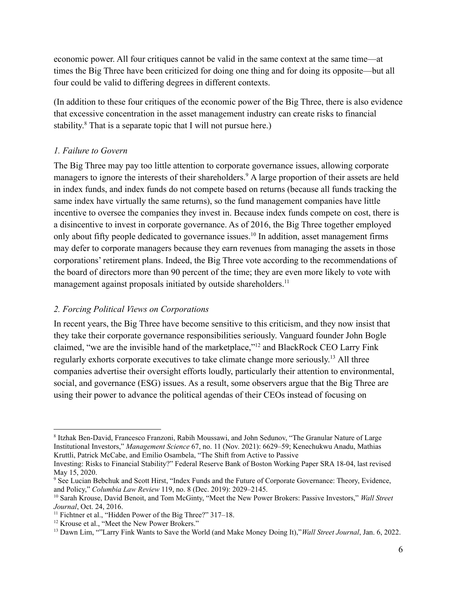economic power. All four critiques cannot be valid in the same context at the same time—at times the Big Three have been criticized for doing one thing and for doing its opposite—but all four could be valid to differing degrees in different contexts.

(In addition to these four critiques of the economic power of the Big Three, there is also evidence that excessive concentration in the asset management industry can create risks to financial stability.<sup>8</sup> That is a separate topic that I will not pursue here.)

### *1. Failure to Govern*

The Big Three may pay too little attention to corporate governance issues, allowing corporate managers to ignore the interests of their shareholders.<sup>9</sup> A large proportion of their assets are held in index funds, and index funds do not compete based on returns (because all funds tracking the same index have virtually the same returns), so the fund management companies have little incentive to oversee the companies they invest in. Because index funds compete on cost, there is a disincentive to invest in corporate governance. As of 2016, the Big Three together employed only about fifty people dedicated to governance issues.<sup>10</sup> In addition, asset management firms may defer to corporate managers because they earn revenues from managing the assets in those corporations' retirement plans. Indeed, the Big Three vote according to the recommendations of the board of directors more than 90 percent of the time; they are even more likely to vote with management against proposals initiated by outside shareholders.<sup>11</sup>

# *2. Forcing Political Views on Corporations*

In recent years, the Big Three have become sensitive to this criticism, and they now insist that they take their corporate governance responsibilities seriously. Vanguard founder John Bogle claimed, "we are the invisible hand of the marketplace,"<sup>12</sup> and BlackRock CEO Larry Fink regularly exhorts corporate executives to take climate change more seriously.<sup>13</sup> All three companies advertise their oversight efforts loudly, particularly their attention to environmental, social, and governance (ESG) issues. As a result, some observers argue that the Big Three are using their power to advance the political agendas of their CEOs instead of focusing on

<sup>&</sup>lt;sup>8</sup> Itzhak Ben-David, Francesco Franzoni, Rabih Moussawi, and John Sedunov, "The Granular Nature of Large Institutional Investors," *Management Science* 67, no. 11 (Nov. 2021): 6629–59; Kenechukwu Anadu, Mathias Kruttli, Patrick McCabe, and Emilio Osambela, "The Shift from Active to Passive

Investing: Risks to Financial Stability?" Federal Reserve Bank of Boston Working Paper SRA 18-04, last revised May 15, 2020.

<sup>9</sup> See Lucian Bebchuk and Scott Hirst, "Index Funds and the Future of Corporate Governance: Theory, Evidence, and Policy," *Columbia Law Review* 119, no. 8 (Dec. 2019): 2029–2145.

<sup>10</sup> Sarah Krouse, David Benoit, and Tom McGinty, "Meet the New Power Brokers: Passive Investors," *Wall Street Journal*, Oct. 24, 2016.

<sup>&</sup>lt;sup>11</sup> Fichtner et al., "Hidden Power of the Big Three?" 317–18.

<sup>&</sup>lt;sup>12</sup> Krouse et al., "Meet the New Power Brokers."

<sup>13</sup> Dawn Lim, ""Larry Fink Wants to Save the World (and Make Money Doing It),"*Wall Street Journal*, Jan. 6, 2022.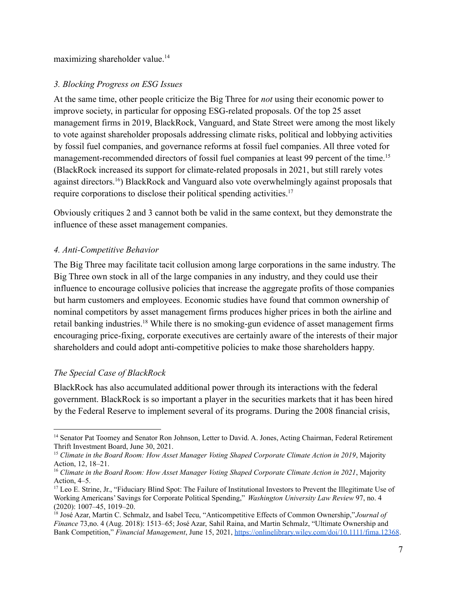maximizing shareholder value.<sup>14</sup>

# *3. Blocking Progress on ESG Issues*

At the same time, other people criticize the Big Three for *not* using their economic power to improve society, in particular for opposing ESG-related proposals. Of the top 25 asset management firms in 2019, BlackRock, Vanguard, and State Street were among the most likely to vote against shareholder proposals addressing climate risks, political and lobbying activities by fossil fuel companies, and governance reforms at fossil fuel companies. All three voted for management-recommended directors of fossil fuel companies at least 99 percent of the time.<sup>15</sup> (BlackRock increased its support for climate-related proposals in 2021, but still rarely votes against directors.<sup>16</sup>) BlackRock and Vanguard also vote overwhelmingly against proposals that require corporations to disclose their political spending activities.<sup>17</sup>

Obviously critiques 2 and 3 cannot both be valid in the same context, but they demonstrate the influence of these asset management companies.

# *4. Anti-Competitive Behavior*

The Big Three may facilitate tacit collusion among large corporations in the same industry. The Big Three own stock in all of the large companies in any industry, and they could use their influence to encourage collusive policies that increase the aggregate profits of those companies but harm customers and employees. Economic studies have found that common ownership of nominal competitors by asset management firms produces higher prices in both the airline and retail banking industries.<sup>18</sup> While there is no smoking-gun evidence of asset management firms encouraging price-fixing, corporate executives are certainly aware of the interests of their major shareholders and could adopt anti-competitive policies to make those shareholders happy.

# *The Special Case of BlackRock*

BlackRock has also accumulated additional power through its interactions with the federal government. BlackRock is so important a player in the securities markets that it has been hired by the Federal Reserve to implement several of its programs. During the 2008 financial crisis,

<sup>14</sup> Senator Pat Toomey and Senator Ron Johnson, Letter to David. A. Jones, Acting Chairman, Federal Retirement Thrift Investment Board, June 30, 2021.

<sup>15</sup> *Climate in the Board Room: How Asset Manager Voting Shaped Corporate Climate Action in 2019*, Majority Action, 12, 18–21.

<sup>16</sup> *Climate in the Board Room: How Asset Manager Voting Shaped Corporate Climate Action in 2021*, Majority Action, 4–5.

<sup>&</sup>lt;sup>17</sup> Leo E. Strine, Jr., "Fiduciary Blind Spot: The Failure of Institutional Investors to Prevent the Illegitimate Use of Working Americans' Savings for Corporate Political Spending," *Washington University Law Review* 97, no. 4 (2020): 1007–45, 1019–20.

<sup>18</sup> José Azar, Martin C. Schmalz, and Isabel Tecu, "Anticompetitive Effects of Common Ownership,"*Journal of Finance* 73,no. 4 (Aug. 2018): 1513–65; José Azar, Sahil Raina, and Martin Schmalz, "Ultimate Ownership and Bank Competition," *Financial Management*, June 15, 2021, <https://onlinelibrary.wiley.com/doi/10.1111/fima.12368>.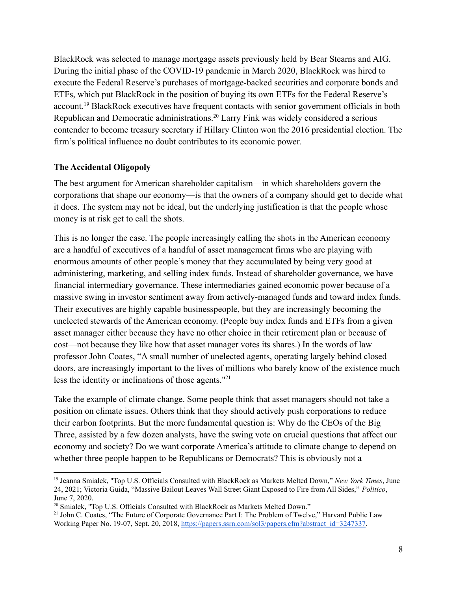BlackRock was selected to manage mortgage assets previously held by Bear Stearns and AIG. During the initial phase of the COVID-19 pandemic in March 2020, BlackRock was hired to execute the Federal Reserve's purchases of mortgage-backed securities and corporate bonds and ETFs, which put BlackRock in the position of buying its own ETFs for the Federal Reserve's account.<sup>19</sup> BlackRock executives have frequent contacts with senior government officials in both Republican and Democratic administrations.<sup>20</sup> Larry Fink was widely considered a serious contender to become treasury secretary if Hillary Clinton won the 2016 presidential election. The firm's political influence no doubt contributes to its economic power.

### **The Accidental Oligopoly**

The best argument for American shareholder capitalism—in which shareholders govern the corporations that shape our economy—is that the owners of a company should get to decide what it does. The system may not be ideal, but the underlying justification is that the people whose money is at risk get to call the shots.

This is no longer the case. The people increasingly calling the shots in the American economy are a handful of executives of a handful of asset management firms who are playing with enormous amounts of other people's money that they accumulated by being very good at administering, marketing, and selling index funds. Instead of shareholder governance, we have financial intermediary governance. These intermediaries gained economic power because of a massive swing in investor sentiment away from actively-managed funds and toward index funds. Their executives are highly capable businesspeople, but they are increasingly becoming the unelected stewards of the American economy. (People buy index funds and ETFs from a given asset manager either because they have no other choice in their retirement plan or because of cost—not because they like how that asset manager votes its shares.) In the words of law professor John Coates, "A small number of unelected agents, operating largely behind closed doors, are increasingly important to the lives of millions who barely know of the existence much less the identity or inclinations of those agents."<sup>21</sup>

Take the example of climate change. Some people think that asset managers should not take a position on climate issues. Others think that they should actively push corporations to reduce their carbon footprints. But the more fundamental question is: Why do the CEOs of the Big Three, assisted by a few dozen analysts, have the swing vote on crucial questions that affect our economy and society? Do we want corporate America's attitude to climate change to depend on whether three people happen to be Republicans or Democrats? This is obviously not a

<sup>19</sup> Jeanna Smialek, "Top U.S. Officials Consulted with BlackRock as Markets Melted Down," *New York Times*, June 24, 2021; Victoria Guida, "Massive Bailout Leaves Wall Street Giant Exposed to Fire from All Sides," *Politico*, June 7, 2020.

<sup>&</sup>lt;sup>20</sup> Smialek, "Top U.S. Officials Consulted with BlackRock as Markets Melted Down."

<sup>&</sup>lt;sup>21</sup> John C. Coates, "The Future of Corporate Governance Part I: The Problem of Twelve," Harvard Public Law Working Paper No. 19-07, Sept. 20, 2018, [https://papers.ssrn.com/sol3/papers.cfm?abstract\\_id=3247337](https://papers.ssrn.com/sol3/papers.cfm?abstract_id=3247337).